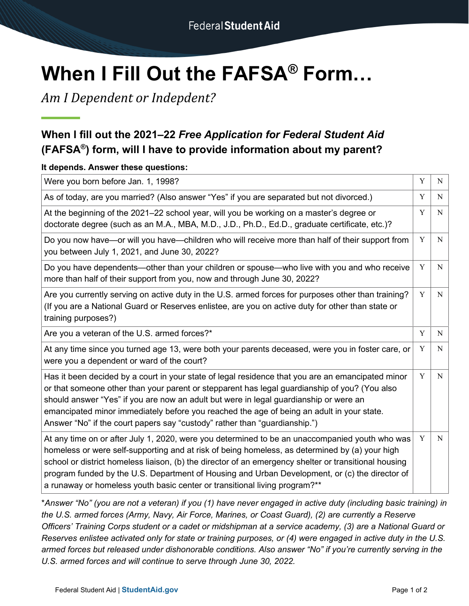# **When I Fill Out the FAFSA® Form…**

*Am I Dependent or Indepdent?*

## **When I fill out the 2021–22** *Free Application for Federal Student Aid* **(FAFSA®) form, will I have to provide information about my parent?**

## **It depends. Answer these questions:**

| Were you born before Jan. 1, 1998?                                                                                                                                                                                                                                                                                                                                                                                                                                                        | Y           | N |
|-------------------------------------------------------------------------------------------------------------------------------------------------------------------------------------------------------------------------------------------------------------------------------------------------------------------------------------------------------------------------------------------------------------------------------------------------------------------------------------------|-------------|---|
| As of today, are you married? (Also answer "Yes" if you are separated but not divorced.)                                                                                                                                                                                                                                                                                                                                                                                                  | Y           | N |
| At the beginning of the 2021–22 school year, will you be working on a master's degree or<br>doctorate degree (such as an M.A., MBA, M.D., J.D., Ph.D., Ed.D., graduate certificate, etc.)?                                                                                                                                                                                                                                                                                                | Y           | N |
| Do you now have—or will you have—children who will receive more than half of their support from<br>you between July 1, 2021, and June 30, 2022?                                                                                                                                                                                                                                                                                                                                           | Y           | N |
| Do you have dependents—other than your children or spouse—who live with you and who receive<br>more than half of their support from you, now and through June 30, 2022?                                                                                                                                                                                                                                                                                                                   | Y           | N |
| Are you currently serving on active duty in the U.S. armed forces for purposes other than training?<br>(If you are a National Guard or Reserves enlistee, are you on active duty for other than state or<br>training purposes?)                                                                                                                                                                                                                                                           | Y           | N |
| Are you a veteran of the U.S. armed forces?*                                                                                                                                                                                                                                                                                                                                                                                                                                              | $\mathbf Y$ | N |
| At any time since you turned age 13, were both your parents deceased, were you in foster care, or<br>were you a dependent or ward of the court?                                                                                                                                                                                                                                                                                                                                           | Y           | N |
| Has it been decided by a court in your state of legal residence that you are an emancipated minor<br>or that someone other than your parent or stepparent has legal guardianship of you? (You also<br>should answer "Yes" if you are now an adult but were in legal guardianship or were an<br>emancipated minor immediately before you reached the age of being an adult in your state.<br>Answer "No" if the court papers say "custody" rather than "guardianship.")                    | Y           | N |
| At any time on or after July 1, 2020, were you determined to be an unaccompanied youth who was<br>homeless or were self-supporting and at risk of being homeless, as determined by (a) your high<br>school or district homeless liaison, (b) the director of an emergency shelter or transitional housing<br>program funded by the U.S. Department of Housing and Urban Development, or (c) the director of<br>a runaway or homeless youth basic center or transitional living program?** | Y           | N |

\**Answer "No" (you are not a veteran) if you (1) have never engaged in active duty (including basic training) in the U.S. armed forces (Army, Navy, Air Force, Marines, or Coast Guard), (2) are currently a Reserve Officers' Training Corps student or a cadet or midshipman at a service academy, (3) are a National Guard or Reserves enlistee activated only for state or training purposes, or (4) were engaged in active duty in the U.S. armed forces but released under dishonorable conditions. Also answer "No" if you're currently serving in the U.S. armed forces and will continue to serve through June 30, 2022.*